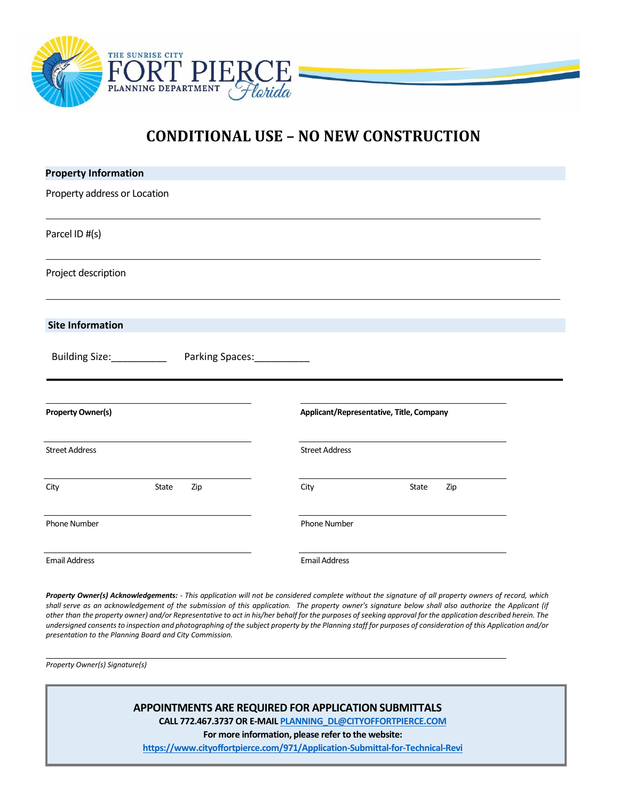

## **CONDITIONAL USE – NO NEW CONSTRUCTION**

| <b>Property Information</b>  |                            |                                          |  |
|------------------------------|----------------------------|------------------------------------------|--|
| Property address or Location |                            |                                          |  |
| Parcel ID #(s)               |                            |                                          |  |
| Project description          |                            |                                          |  |
| <b>Site Information</b>      |                            |                                          |  |
| Building Size:___________    | Parking Spaces:___________ |                                          |  |
| <b>Property Owner(s)</b>     |                            | Applicant/Representative, Title, Company |  |
| <b>Street Address</b>        | <b>Street Address</b>      |                                          |  |
| City<br>State<br>Zip         | City                       | State<br>Zip                             |  |
| Phone Number                 | Phone Number               |                                          |  |
| <b>Email Address</b>         | <b>Email Address</b>       |                                          |  |

Property Owner(s) Acknowledgements: - This application will not be considered complete without the signature of all property owners of record, which shall serve as an acknowledgement of the submission of this application. The property owner's signature below shall also authorize the Applicant (if other than the property owner) and/or Representative to act in his/her behalf for the purposes of seeking approval for the application described herein. The *undersigned consents to inspection and photographing of the subject property by the Planning staff for purposes of consideration of this Application and/or presentation to the Planning Board and City Commission.*

*Property Owner(s) Signature(s)*

**APPOINTMENTS ARE REQUIRED FOR APPLICATION SUBMITTALS**

**CALL 772.467.3737 OR E-MAI[L PLANNING\\_DL@CITYOFFORTPIERCE.COM](mailto:PLANNING_DL@CITYOFFORTPIERCE.COM)**

**For more information, please refer to the website:**

**<https://www.cityoffortpierce.com/971/Application-Submittal-for-Technical-Revi>**